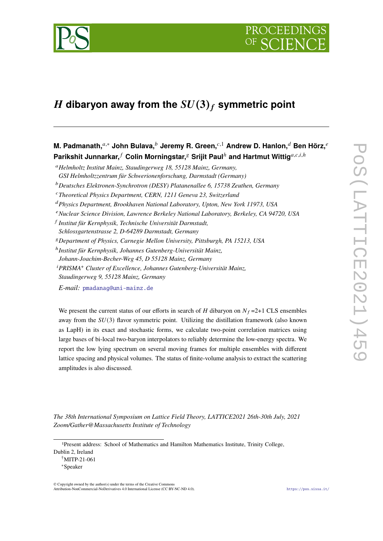

# H dibaryon away from the  $SU(3)_f$  symmetric point

**M. Padmanath,**<sup>a,∗</sup> John Bulava,<sup>*b*</sup> Jeremy R. Green,<sup>*c*,1</sup> Andrew D. Hanlon,<sup>*d*</sup> Ben Hörz,<sup>*e*</sup> **Parikshit Junnarkar,**  $^f$  Colin Morningstar,  $^g$  Srijit Paul<sup>h</sup> and Hartmut Wittig<sup>a,c,i,h</sup>

<sup>𝑎</sup>*Helmholtz Institut Mainz, Staudingerweg 18, 55128 Mainz, Germany,*

*GSI Helmholtzzentrum für Schwerionenforschung, Darmstadt (Germany)*

<sup>𝑏</sup>*Deutsches Elektronen-Synchrotron (DESY) Platanenallee 6, 15738 Zeuthen, Germany*

<sup>𝑐</sup>*Theoretical Physics Department, CERN, 1211 Geneva 23, Switzerland*

<sup>𝑑</sup>*Physics Department, Brookhaven National Laboratory, Upton, New York 11973, USA*

<sup>𝑒</sup>*Nuclear Science Division, Lawrence Berkeley National Laboratory, Berkeley, CA 94720, USA*

𝑓 *Institut für Kernphysik, Technische Universität Darmstadt,*

*Schlossgartenstrasse 2, D-64289 Darmstadt, Germany*

<sup>𝑔</sup>*Department of Physics, Carnegie Mellon University, Pittsburgh, PA 15213, USA*

ℎ *Institut für Kernphysik, Johannes Gutenberg-Universität Mainz,*

*Johann-Joachim-Becher-Weg 45, D 55128 Mainz, Germany*

<sup>𝑖</sup>*PRISMA*<sup>+</sup> *Cluster of Excellence, Johannes Gutenberg-Universität Mainz,*

*Staudingerweg 9, 55128 Mainz, Germany*

*E-mail:* [pmadanag@uni-mainz.de](mailto:pmadanag@uni-mainz.de)

We present the current status of our efforts in search of  $H$  dibaryon on  $N_f = 2+1$  CLS ensembles away from the  $SU(3)$  flavor symmetric point. Utilizing the distillation framework (also known as LapH) in its exact and stochastic forms, we calculate two-point correlation matrices using large bases of bi-local two-baryon interpolators to reliably determine the low-energy spectra. We report the low lying spectrum on several moving frames for multiple ensembles with different lattice spacing and physical volumes. The status of finite-volume analysis to extract the scattering amplitudes is also discussed.

*The 38th International Symposium on Lattice Field Theory, LATTICE2021 26th-30th July, 2021 Zoom/Gather@Massachusetts Institute of Technology*

© Copyright owned by the author(s) under the terms of the Creative Commons Attribution-NonCommercial-NoDerivatives 4.0 International License (CC BY-NC-ND 4.0). <https://pos.sissa.it/>

<sup>1</sup>Present address: School of Mathematics and Hamilton Mathematics Institute, Trinity College, Dublin 2, Ireland

<sup>†</sup>MITP-21-061

<sup>∗</sup>Speaker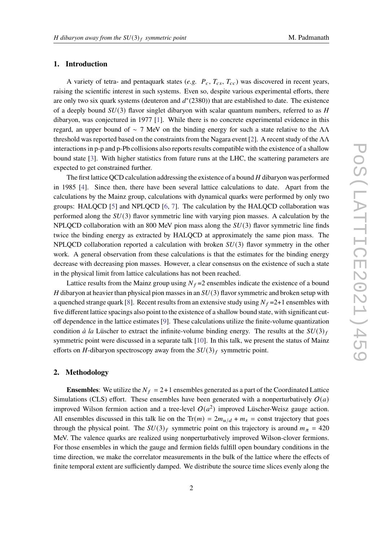## **1. Introduction**

A variety of tetra- and pentaquark states  $(e.g., P_c, T_{cs}, T_{cc})$  was discovered in recent years, raising the scientific interest in such systems. Even so, despite various experimental efforts, there are only two six quark systems (deuteron and  $d^*(2380)$ ) that are established to date. The existence of a deeply bound  $SU(3)$  flavor singlet dibaryon with scalar quantum numbers, referred to as H dibaryon, was conjectured in 1977 [\[1\]](#page-8-0). While there is no concrete experimental evidence in this regard, an upper bound of  $\sim$  7 MeV on the binding energy for such a state relative to the  $\Lambda\Lambda$ threshold was reported based on the constraints from the Nagara event [\[2\]](#page-8-1). A recent study of the ΛΛ interactions in p-p and p-Pb collisions also reports results compatible with the existence of a shallow bound state [\[3\]](#page-8-2). With higher statistics from future runs at the LHC, the scattering parameters are expected to get constrained further.

The first lattice QCD calculation addressing the existence of a bound  $H$  dibaryon was performed in 1985 [\[4\]](#page-8-3). Since then, there have been several lattice calculations to date. Apart from the calculations by the Mainz group, calculations with dynamical quarks were performed by only two groups: HALQCD [\[5\]](#page-8-4) and NPLQCD [\[6,](#page-8-5) [7\]](#page-8-6). The calculation by the HALQCD collaboration was performed along the  $SU(3)$  flavor symmetric line with varying pion masses. A calculation by the NPLQCD collaboration with an 800 MeV pion mass along the  $SU(3)$  flavor symmetric line finds twice the binding energy as extracted by HALQCD at approximately the same pion mass. The NPLQCD collaboration reported a calculation with broken  $SU(3)$  flavor symmetry in the other work. A general observation from these calculations is that the estimates for the binding energy decrease with decreasing pion masses. However, a clear consensus on the existence of such a state in the physical limit from lattice calculations has not been reached.

Lattice results from the Mainz group using  $N_f = 2$  ensembles indicate the existence of a bound H dibaryon at heavier than physical pion masses in an  $SU(3)$  flavor symmetric and broken setup with a quenched strange quark [\[8\]](#page-8-7). Recent results from an extensive study using  $N_f = 2+1$  ensembles with five different lattice spacings also point to the existence of a shallow bound state, with significant cutoff dependence in the lattice estimates [\[9\]](#page-8-8). These calculations utilize the finite-volume quantization condition *à la* Lüscher to extract the infinite-volume binding energy. The results at the  $SU(3)_f$ symmetric point were discussed in a separate talk [\[10\]](#page-8-9). In this talk, we present the status of Mainz efforts on *H*-dibaryon spectroscopy away from the  $SU(3)_f$  symmetric point.

#### **2. Methodology**

**Ensembles**: We utilize the  $N_f = 2+1$  ensembles generated as a part of the Coordinated Lattice Simulations (CLS) effort. These ensembles have been generated with a nonperturbatively  $O(a)$ improved Wilson fermion action and a tree-level  $O(a^2)$  improved Lüscher-Weisz gauge action. All ensembles discussed in this talk lie on the Tr( $m$ ) =  $2m_{\mu/d} + m_s$  = const trajectory that goes through the physical point. The  $SU(3)_f$  symmetric point on this trajectory is around  $m_{\pi} = 420$ MeV. The valence quarks are realized using nonperturbatively improved Wilson-clover fermions. For those ensembles in which the gauge and fermion fields fulfill open boundary conditions in the time direction, we make the correlator measurements in the bulk of the lattice where the effects of finite temporal extent are sufficiently damped. We distribute the source time slices evenly along the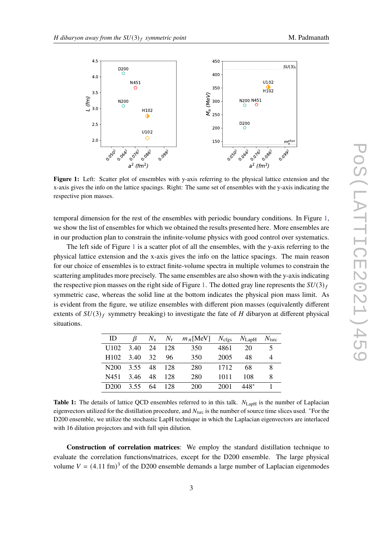<span id="page-2-0"></span>

Figure 1: Left: Scatter plot of ensembles with y-axis referring to the physical lattice extension and the x-axis gives the info on the lattice spacings. Right: The same set of ensembles with the y-axis indicating the respective pion masses.

temporal dimension for the rest of the ensembles with periodic boundary conditions. In Figure [1,](#page-2-0) we show the list of ensembles for which we obtained the results presented here. More ensembles are in our production plan to constrain the infinite-volume physics with good control over systematics.

The left side of Figure [1](#page-2-0) is a scatter plot of all the ensembles, with the y-axis referring to the physical lattice extension and the x-axis gives the info on the lattice spacings. The main reason for our choice of ensembles is to extract finite-volume spectra in multiple volumes to constrain the scattering amplitudes more precisely. The same ensembles are also shown with the y-axis indicating the respective pion masses on the right side of Figure [1.](#page-2-0) The dotted gray line represents the  $SU(3)_f$ symmetric case, whereas the solid line at the bottom indicates the physical pion mass limit. As is evident from the figure, we utilize ensembles with different pion masses (equivalently different extents of  $SU(3)_f$  symmetry breaking) to investigate the fate of H dibaryon at different physical situations.

<span id="page-2-1"></span>

| ID               | B    | $N_{\rm s}$ | $N_t$ | $m_{\pi}$ [MeV] $N_{\text{cfgs}}$ |      | $N_{\rm LapH}$ | $N_{\rm tsrc}$ |
|------------------|------|-------------|-------|-----------------------------------|------|----------------|----------------|
| $U102$ 3.40 24   |      |             | 128   | 350                               | 4861 | 20             |                |
| H <sub>102</sub> | 3.40 | 32          | 96.   | 350                               | 2005 | 48             |                |
| N <sub>200</sub> | 3.55 | -48         | 128   | 280                               | 1712 | 68             |                |
| N451             | 3.46 | 48          | 128   | 280                               | 1011 | 108            | 8              |
| D <sub>200</sub> | 3.55 | 64          | 128   | 200                               | 2001 | 448*           |                |

**Table 1:** The details of lattice QCD ensembles referred to in this talk.  $N_{\text{LapH}}$  is the number of Laplacian eigenvectors utilized for the distillation procedure, and  $N_{\text{tsrc}}$  is the number of source time slices used.  $*$ For the D200 ensemble, we utilize the stochastic LapH technique in which the Laplacian eigenvectors are interlaced with 16 dilution projectors and with full spin dilution.

**Construction of correlation matrices**: We employ the standard distillation technique to evaluate the correlation functions/matrices, except for the D200 ensemble. The large physical volume  $V = (4.11 \text{ fm})^3$  of the D200 ensemble demands a large number of Laplacian eigenmodes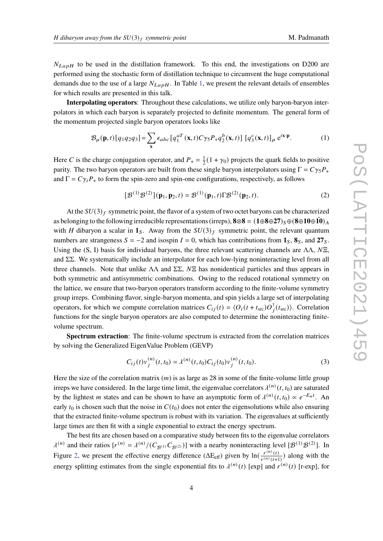$N_{LapH}$  to be used in the distillation framework. To this end, the investigations on D200 are performed using the stochastic form of distillation technique to circumvent the huge computational demands due to the use of a large  $N_{LapH}$ . In Table [1,](#page-2-1) we present the relevant details of ensembles for which results are presented in this talk.

**Interpolating operators**: Throughout these calculations, we utilize only baryon-baryon interpolators in which each baryon is separately projected to definite momentum. The general form of the momentum projected single baryon operators looks like

$$
\mathcal{B}_{\mu}(\mathbf{p},t)[q_1q_2q_3] = \sum_{\mathbf{x}} \epsilon_{abc} \left[ q_1^{aT}(\mathbf{x},t) C \gamma_5 P_+ q_2^b(\mathbf{x},t) \right] \left[ q_3^c(\mathbf{x},t) \right]_{\mu} e^{i\mathbf{x}\cdot\mathbf{p}}.
$$
 (1)

Here C is the charge conjugation operator, and  $P_+ = \frac{1}{2}$  $\frac{1}{2}(1 + \gamma_0)$  projects the quark fields to positive parity. The two baryon operators are built from these single baryon interpolators using  $\Gamma = C\gamma_5 P_+$ and  $\Gamma = C \gamma_i P_+$  to form the spin-zero and spin-one configurations, respectively, as follows

$$
[\mathcal{B}^{(1)}\mathcal{B}^{(2)}](\mathbf{p}_1, \mathbf{p}_2, t) = \mathcal{B}^{(1)}(\mathbf{p}_1, t)\Gamma \mathcal{B}^{(2)}(\mathbf{p}_2, t).
$$
 (2)

At the  $SU(3)_f$  symmetric point, the flavor of a system of two octet baryons can be characterized as belonging to the following irreducible representations (irreps),  $\mathbf{8} \otimes \mathbf{8} = (\mathbf{1} \oplus \mathbf{8} \oplus \mathbf{27})$ <sub>S</sub> ⊕ ( $\mathbf{8} \oplus \mathbf{10} \oplus \mathbf{10}$ )<sub>A</sub> with H dibaryon a scalar in  $\mathbf{1}_{\mathcal{S}}$ . Away from the  $SU(3)_f$  symmetric point, the relevant quantum numbers are strangeness  $S = -2$  and isospin  $I = 0$ , which has contributions from **1**<sub>S</sub>, **8**<sub>S</sub>, and **27**<sub>S</sub>. Using the (S, I) basis for individual baryons, the three relevant scattering channels are  $\Lambda\Lambda$ ,  $N\Xi$ , and ΣΣ. We systematically include an interpolator for each low-lying noninteracting level from all three channels. Note that unlike  $\Lambda\Lambda$  and  $\Sigma\Sigma$ ,  $N\Xi$  has nonidentical particles and thus appears in both symmetric and antisymmetric combinations. Owing to the reduced rotational symmetry on the lattice, we ensure that two-baryon operators transform according to the finite-volume symmetry group irreps. Combining flavor, single-baryon momenta, and spin yields a large set of interpolating operators, for which we compute correlation matrices  $C_{ij}(t) = \langle O_i(t + t_{src})O_i^{\dagger}(t_{src})\rangle$ . Correlation functions for the single baryon operators are also computed to determine the noninteracting finitevolume spectrum.

**Spectrum extraction**: The finite-volume spectrum is extracted from the correlation matrices by solving the Generalized EigenValue Problem (GEVP)

$$
C_{ij}(t)v_j^{(n)}(t,t_0) = \lambda^{(n)}(t,t_0)C_{ij}(t_0)v_j^{(n)}(t,t_0).
$$
\n(3)

Here the size of the correlation matrix  $(m)$  is as large as 28 in some of the finite-volume little group irreps we have considered. In the large time limit, the eigenvalue correlators  $\lambda^{(n)}(t, t_0)$  are saturated by the lightest *m* states and can be shown to have an asymptotic form of  $\lambda^{(n)}(t, t_0) \propto e^{-E_n t}$ . An early  $t_0$  is chosen such that the noise in  $C(t_0)$  does not enter the eigensolutions while also ensuring that the extracted finite-volume spectrum is robust with its variation. The eigenvalues at sufficiently large times are then fit with a single exponential to extract the energy spectrum.

The best fits are chosen based on a comparative study between fits to the eigenvalue correlators  $\lambda^{(n)}$  and their ratios  $[r^{(n)} = \lambda^{(n)}/(C_{\mathcal{B}^{(1)}}C_{\mathcal{B}^{(2)}})]$  with a nearby noninteracting level  $[\mathcal{B}^{(1)}\mathcal{B}^{(2)}]$ . In Figure [2,](#page-4-0) we present the effective energy difference ( $\Delta E_{eff}$ ) given by  $\ln\left(\frac{r^{(n)}(t)}{r^{(n)}(t)}\right)$  $\frac{r^{(n)}(t)}{r^{(n)}(t+1)}$ ) along with the energy splitting estimates from the single exponential fits to  $\lambda^{(n)}(t)$  [exp] and  $r^{(n)}(t)$  [r-exp], for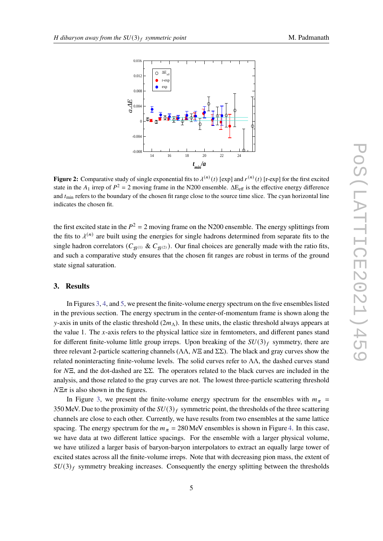<span id="page-4-0"></span>

**Figure 2:** Comparative study of single exponential fits to  $\lambda^{(n)}(t)$  [exp] and  $r^{(n)}(t)$  [r-exp] for the first excited state in the  $A_1$  irrep of  $P^2 = 2$  moving frame in the N200 ensemble.  $\Delta E_{\text{eff}}$  is the effective energy difference and  $t_{\text{min}}$  refers to the boundary of the chosen fit range close to the source time slice. The cyan horizontal line indicates the chosen fit.

the first excited state in the  $P^2 = 2$  moving frame on the N200 ensemble. The energy splittings from the fits to  $\lambda^{(n)}$  are built using the energies for single hadrons determined from separate fits to the single hadron correlators ( $C_{\mathcal{B}^{(1)}}$  &  $C_{\mathcal{B}^{(2)}}$ ). Our final choices are generally made with the ratio fits, and such a comparative study ensures that the chosen fit ranges are robust in terms of the ground state signal saturation.

## **3. Results**

In Figures [3,](#page-5-0) [4,](#page-6-0) and [5,](#page-6-1) we present the finite-volume energy spectrum on the five ensembles listed in the previous section. The energy spectrum in the center-of-momentum frame is shown along the y-axis in units of the elastic threshold ( $2m<sub>\Lambda</sub>$ ). In these units, the elastic threshold always appears at the value 1. The  $x$ -axis refers to the physical lattice size in femtometers, and different panes stand for different finite-volume little group irreps. Upon breaking of the  $SU(3)_f$  symmetry, there are three relevant 2-particle scattering channels ( $\Lambda\Lambda$ ,  $N\Xi$  and  $\Sigma\Sigma$ ). The black and gray curves show the related noninteracting finite-volume levels. The solid curves refer to ΛΛ, the dashed curves stand for  $N\Xi$ , and the dot-dashed are  $\Sigma\Sigma$ . The operators related to the black curves are included in the analysis, and those related to the gray curves are not. The lowest three-particle scattering threshold  $N\Xi\pi$  is also shown in the figures.

In Figure [3,](#page-5-0) we present the finite-volume energy spectrum for the ensembles with  $m_{\pi}$  = 350 MeV. Due to the proximity of the  $SU(3)_f$  symmetric point, the thresholds of the three scattering channels are close to each other. Currently, we have results from two ensembles at the same lattice spacing. The energy spectrum for the  $m_{\pi} = 280$  MeV ensembles is shown in Figure [4.](#page-6-0) In this case, we have data at two different lattice spacings. For the ensemble with a larger physical volume, we have utilized a larger basis of baryon-baryon interpolators to extract an equally large tower of excited states across all the finite-volume irreps. Note that with decreasing pion mass, the extent of  $SU(3)_f$  symmetry breaking increases. Consequently the energy splitting between the thresholds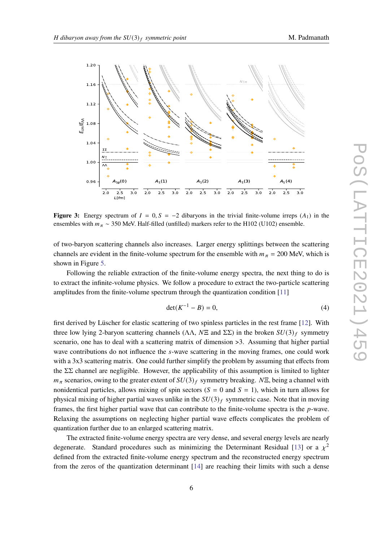<span id="page-5-0"></span>

**Figure 3:** Energy spectrum of  $I = 0$ ,  $S = -2$  dibaryons in the trivial finite-volume irreps  $(A_1)$  in the ensembles with  $m_{\pi} \sim 350$  MeV. Half-filled (unfilled) markers refer to the H102 (U102) ensemble.

of two-baryon scattering channels also increases. Larger energy splittings between the scattering channels are evident in the finite-volume spectrum for the ensemble with  $m_{\pi} = 200$  MeV, which is shown in Figure [5.](#page-6-1)

Following the reliable extraction of the finite-volume energy spectra, the next thing to do is to extract the infinite-volume physics. We follow a procedure to extract the two-particle scattering amplitudes from the finite-volume spectrum through the quantization condition [\[11\]](#page-8-10)

$$
\det(K^{-1} - B) = 0,\t\t(4)
$$

first derived by Lüscher for elastic scattering of two spinless particles in the rest frame [\[12\]](#page-8-11). With three low lying 2-baryon scattering channels ( $\Lambda\Lambda$ ,  $N\Xi$  and  $\Sigma\Sigma$ ) in the broken  $SU(3)_f$  symmetry scenario, one has to deal with a scattering matrix of dimension >3. Assuming that higher partial wave contributions do not influence the s-wave scattering in the moving frames, one could work with a 3x3 scattering matrix. One could further simplify the problem by assuming that effects from the  $\Sigma\Sigma$  channel are negligible. However, the applicability of this assumption is limited to lighter  $m_{\pi}$  scenarios, owing to the greater extent of  $SU(3)_f$  symmetry breaking.  $N\Xi$ , being a channel with nonidentical particles, allows mixing of spin sectors ( $S = 0$  and  $S = 1$ ), which in turn allows for physical mixing of higher partial waves unlike in the  $SU(3)_f$  symmetric case. Note that in moving frames, the first higher partial wave that can contribute to the finite-volume spectra is the  $p$ -wave. Relaxing the assumptions on neglecting higher partial wave effects complicates the problem of quantization further due to an enlarged scattering matrix.

The extracted finite-volume energy spectra are very dense, and several energy levels are nearly degenerate. Standard procedures such as minimizing the Determinant Residual [\[13\]](#page-8-12) or a  $\chi^2$ defined from the extracted finite-volume energy spectrum and the reconstructed energy spectrum from the zeros of the quantization determinant [\[14\]](#page-8-13) are reaching their limits with such a dense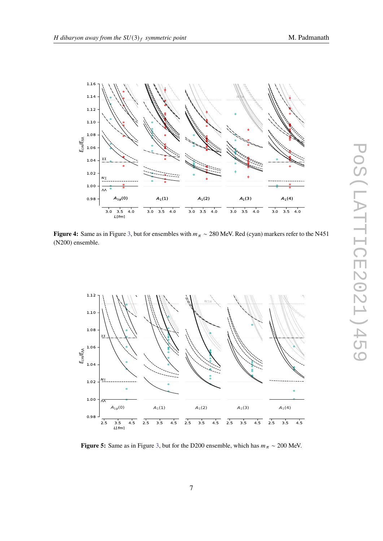<span id="page-6-0"></span>

**Figure 4:** Same as in Figure [3,](#page-5-0) but for ensembles with  $m_\pi \sim 280$  MeV. Red (cyan) markers refer to the N451 (N200) ensemble.

<span id="page-6-1"></span>

**Figure 5:** Same as in Figure [3,](#page-5-0) but for the D200 ensemble, which has  $m_{\pi} \sim 200$  MeV.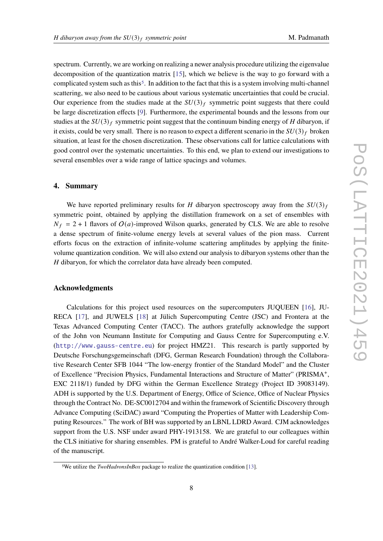spectrum. Currently, we are working on realizing a newer analysis procedure utilizing the eigenvalue decomposition of the quantization matrix [\[15\]](#page-8-14), which we believe is the way to go forward with a complicated system such as this<sup>[5](#page-7-0)</sup>. In addition to the fact that this is a system involving multi-channel scattering, we also need to be cautious about various systematic uncertainties that could be crucial. Our experience from the studies made at the  $SU(3)_f$  symmetric point suggests that there could be large discretization effects [\[9\]](#page-8-8). Furthermore, the experimental bounds and the lessons from our studies at the  $SU(3)_f$  symmetric point suggest that the continuum binding energy of H dibaryon, if it exists, could be very small. There is no reason to expect a different scenario in the  $SU(3)_f$  broken situation, at least for the chosen discretization. These observations call for lattice calculations with good control over the systematic uncertainties. To this end, we plan to extend our investigations to several ensembles over a wide range of lattice spacings and volumes.

## **4. Summary**

We have reported preliminary results for H dibaryon spectroscopy away from the  $SU(3)_f$ symmetric point, obtained by applying the distillation framework on a set of ensembles with  $N_f = 2 + 1$  flavors of  $O(a)$ -improved Wilson quarks, generated by CLS. We are able to resolve a dense spectrum of finite-volume energy levels at several values of the pion mass. Current efforts focus on the extraction of infinite-volume scattering amplitudes by applying the finitevolume quantization condition. We will also extend our analysis to dibaryon systems other than the  $H$  dibaryon, for which the correlator data have already been computed.

#### **Acknowledgments**

Calculations for this project used resources on the supercomputers JUQUEEN [\[16\]](#page-8-15), JU-RECA [\[17\]](#page-8-16), and JUWELS [\[18\]](#page-8-17) at Jülich Supercomputing Centre (JSC) and Frontera at the Texas Advanced Computing Center (TACC). The authors gratefully acknowledge the support of the John von Neumann Institute for Computing and Gauss Centre for Supercomputing e.V. (<http://www.gauss-centre.eu>) for project HMZ21. This research is partly supported by Deutsche Forschungsgemeinschaft (DFG, German Research Foundation) through the Collaborative Research Center SFB 1044 "The low-energy frontier of the Standard Model" and the Cluster of Excellence "Precision Physics, Fundamental Interactions and Structure of Matter" (PRISMA<sup>+</sup>, EXC 2118/1) funded by DFG within the German Excellence Strategy (Project ID 39083149). ADH is supported by the U.S. Department of Energy, Office of Science, Office of Nuclear Physics through the Contract No. DE-SC0012704 and within the framework of Scientific Discovery through Advance Computing (SciDAC) award "Computing the Properties of Matter with Leadership Computing Resources." The work of BH was supported by an LBNL LDRD Award. CJM acknowledges support from the U.S. NSF under award PHY-1913158. We are grateful to our colleagues within the CLS initiative for sharing ensembles. PM is grateful to André Walker-Loud for careful reading of the manuscript.

<span id="page-7-0"></span><sup>5</sup>We utilize the *TwoHadronsInBox* package to realize the quantization condition [\[13\]](#page-8-12).